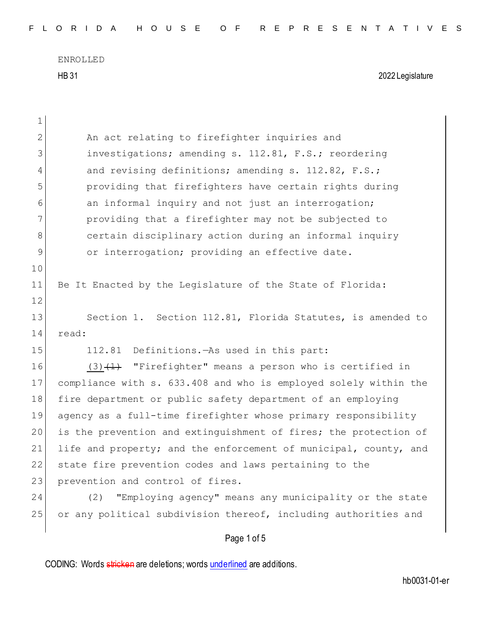| $\mathbf 1$  |                                                                  |
|--------------|------------------------------------------------------------------|
| $\mathbf{2}$ | An act relating to firefighter inquiries and                     |
| 3            | investigations; amending s. 112.81, F.S.; reordering             |
| 4            | and revising definitions; amending s. 112.82, F.S.;              |
| 5            | providing that firefighters have certain rights during           |
| 6            | an informal inquiry and not just an interrogation;               |
| 7            | providing that a firefighter may not be subjected to             |
| 8            | certain disciplinary action during an informal inquiry           |
| $\mathsf{S}$ | or interrogation; providing an effective date.                   |
| 10           |                                                                  |
| 11           | Be It Enacted by the Legislature of the State of Florida:        |
| 12           |                                                                  |
| 13           | Section 1. Section 112.81, Florida Statutes, is amended to       |
| 14           | read:                                                            |
| 15           | Definitions. As used in this part:<br>112.81                     |
| 16           | $(3)$ $(1)$ "Firefighter" means a person who is certified in     |
| 17           | compliance with s. 633.408 and who is employed solely within the |
| 18           | fire department or public safety department of an employing      |
| 19           | agency as a full-time firefighter whose primary responsibility   |
| 20           | is the prevention and extinguishment of fires; the protection of |
| 21           | life and property; and the enforcement of municipal, county, and |
| 22           | state fire prevention codes and laws pertaining to the           |
| 23           | prevention and control of fires.                                 |
| 24           | "Employing agency" means any municipality or the state<br>(2)    |
| 25           | or any political subdivision thereof, including authorities and  |
|              | Page 1 of 5                                                      |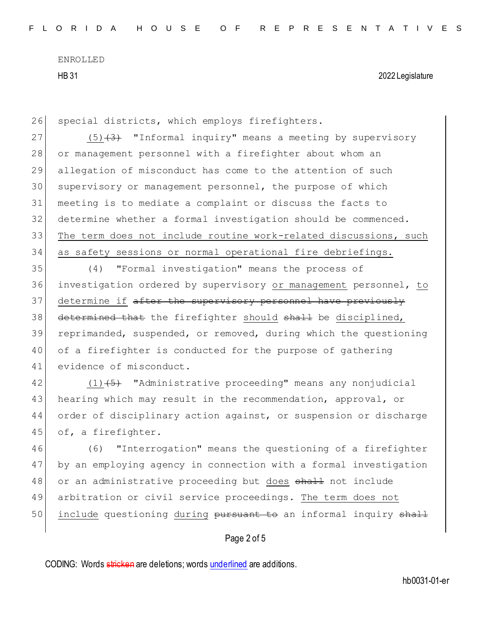26 special districts, which employs firefighters.

27  $(5)(3)$  "Informal inquiry" means a meeting by supervisory 28 or management personnel with a firefighter about whom an 29 allegation of misconduct has come to the attention of such 30 supervisory or management personnel, the purpose of which 31 meeting is to mediate a complaint or discuss the facts to 32 determine whether a formal investigation should be commenced. 33 The term does not include routine work-related discussions, such 34 as safety sessions or normal operational fire debriefings.

35 (4) "Formal investigation" means the process of 36 investigation ordered by supervisory or management personnel, to 37 determine if after the supervisory personnel have previously 38 determined that the firefighter should shall be disciplined, 39 reprimanded, suspended, or removed, during which the questioning 40 of a firefighter is conducted for the purpose of gathering 41 evidence of misconduct.

42 (1) (5) "Administrative proceeding" means any nonjudicial 43 hearing which may result in the recommendation, approval, or 44 order of disciplinary action against, or suspension or discharge 45 of, a firefighter.

46 (6) "Interrogation" means the questioning of a firefighter 47 by an employing agency in connection with a formal investigation 48 or an administrative proceeding but does shall not include 49 arbitration or civil service proceedings. The term does not 50 include questioning during pursuant to an informal inquiry shall

## Page 2 of 5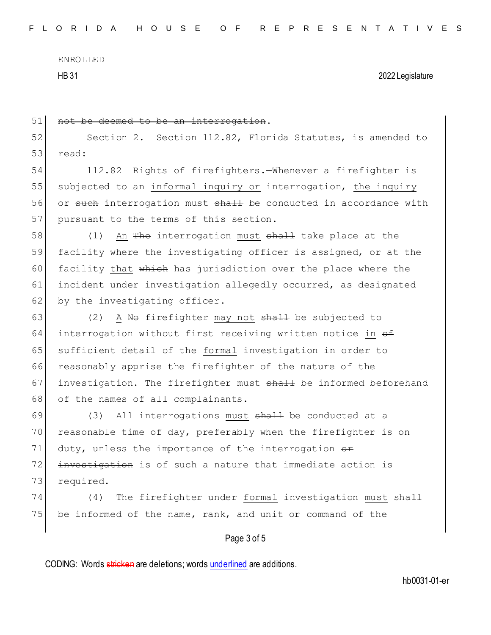ENROLLED

HB 31 2022 Legislature

| 51 | not be deemed to be an interrogation.                                          |
|----|--------------------------------------------------------------------------------|
| 52 | Section 2. Section 112.82, Florida Statutes, is amended to                     |
| 53 | read:                                                                          |
| 54 | 112.82 Rights of firefighters. - Whenever a firefighter is                     |
| 55 | subjected to an informal inquiry or interrogation, the inquiry                 |
| 56 | or such interrogation must shall be conducted in accordance with               |
| 57 | pursuant to the terms of this section.                                         |
| 58 | (1)<br>An <del>The</del> interrogation must <del>shall</del> take place at the |
| 59 | facility where the investigating officer is assigned, or at the                |
| 60 | facility that which has jurisdiction over the place where the                  |
| 61 | incident under investigation allegedly occurred, as designated                 |
| 62 | by the investigating officer.                                                  |
| 63 | A No firefighter may not shall be subjected to<br>(2)                          |
| 64 | interrogation without first receiving written notice in <del>of</del>          |
| 65 | sufficient detail of the formal investigation in order to                      |
| 66 | reasonably apprise the firefighter of the nature of the                        |
| 67 | investigation. The firefighter must shall be informed beforehand               |
| 68 | of the names of all complainants.                                              |
| 69 | All interrogations must shall be conducted at a<br>(3)                         |
| 70 | reasonable time of day, preferably when the firefighter is on                  |
| 71 | duty, unless the importance of the interrogation $\theta$                      |
| 72 | investigation is of such a nature that immediate action is                     |
| 73 | required.                                                                      |
| 74 | The firefighter under formal investigation must shall<br>(4)                   |
| 75 | be informed of the name, rank, and unit or command of the                      |
|    | Page 3 of 5                                                                    |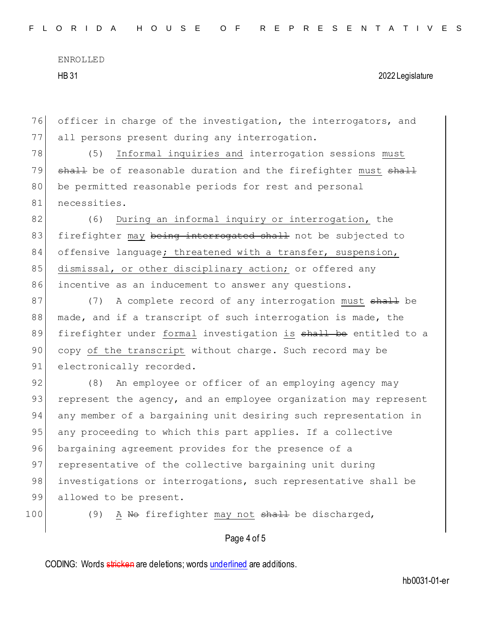76 officer in charge of the investigation, the interrogators, and 77 all persons present during any interrogation.

78 (5) Informal inquiries and interrogation sessions must 79 shall be of reasonable duration and the firefighter must shall 80 be permitted reasonable periods for rest and personal 81 necessities.

82 (6) During an informal inquiry or interrogation, the 83 firefighter may being interrogated shall not be subjected to  $84$  offensive language; threatened with a transfer, suspension, 85 dismissal, or other disciplinary action; or offered any 86 incentive as an inducement to answer any questions.

87 (7) A complete record of any interrogation must shall be 88 made, and if a transcript of such interrogation is made, the 89 firefighter under formal investigation is shall be entitled to a 90 copy of the transcript without charge. Such record may be 91 electronically recorded.

92 (8) An employee or officer of an employing agency may 93 represent the agency, and an employee organization may represent 94 any member of a bargaining unit desiring such representation in 95 any proceeding to which this part applies. If a collective 96 bargaining agreement provides for the presence of a 97 representative of the collective bargaining unit during 98 investigations or interrogations, such representative shall be 99 allowed to be present.

100 (9) A No firefighter may not shall be discharged,

## Page 4 of 5